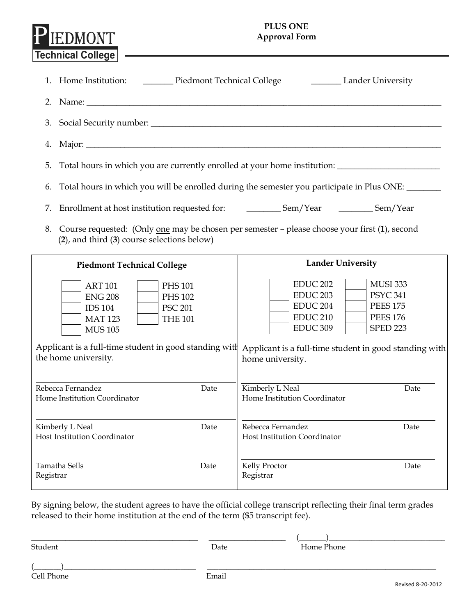## **PLUS ONE Approval Form**

|                                                                | Technical College                                                                                                                                                                      |                                                                                                                                                                                                                                                                                                                                             |
|----------------------------------------------------------------|----------------------------------------------------------------------------------------------------------------------------------------------------------------------------------------|---------------------------------------------------------------------------------------------------------------------------------------------------------------------------------------------------------------------------------------------------------------------------------------------------------------------------------------------|
|                                                                | 1. Home Institution: _________ Piedmont Technical College _______________________ Lander University                                                                                    |                                                                                                                                                                                                                                                                                                                                             |
|                                                                |                                                                                                                                                                                        |                                                                                                                                                                                                                                                                                                                                             |
| 3.                                                             |                                                                                                                                                                                        |                                                                                                                                                                                                                                                                                                                                             |
| 4.                                                             |                                                                                                                                                                                        |                                                                                                                                                                                                                                                                                                                                             |
| 5.                                                             |                                                                                                                                                                                        | Total hours in which you are currently enrolled at your home institution: __________________________                                                                                                                                                                                                                                        |
| 6.                                                             |                                                                                                                                                                                        | Total hours in which you will be enrolled during the semester you participate in Plus ONE:                                                                                                                                                                                                                                                  |
| 7.                                                             |                                                                                                                                                                                        |                                                                                                                                                                                                                                                                                                                                             |
|                                                                | $(2)$ , and third $(3)$ course selections below)                                                                                                                                       | 8. Course requested: (Only one may be chosen per semester - please choose your first (1), second                                                                                                                                                                                                                                            |
|                                                                | <b>Piedmont Technical College</b>                                                                                                                                                      | <b>Lander University</b>                                                                                                                                                                                                                                                                                                                    |
|                                                                | <b>ART 101</b><br><b>PHS 101</b><br><b>ENG 208</b><br><b>PHS 102</b><br><b>PSC 201</b><br><b>IDS 104</b><br><b>MAT 123</b><br><b>THE 101</b><br><b>MUS 105</b><br>the home university. | <b>EDUC 202</b><br><b>MUSI 333</b><br>EDUC <sub>203</sub><br><b>PSYC 341</b><br>EDUC <sub>204</sub><br><b>PEES 175</b><br><b>EDUC 210</b><br><b>PEES 176</b><br>EDUC <sub>309</sub><br><b>SPED 223</b><br>Applicant is a full-time student in good standing with Applicant is a full-time student in good standing with<br>home university. |
|                                                                |                                                                                                                                                                                        |                                                                                                                                                                                                                                                                                                                                             |
| Rebecca Fernandez<br>Date<br>Home Institution Coordinator      |                                                                                                                                                                                        | Kimberly L Neal<br>Date<br>Home Institution Coordinator                                                                                                                                                                                                                                                                                     |
| Date<br>Kimberly L Neal<br><b>Host Institution Coordinator</b> |                                                                                                                                                                                        | Rebecca Fernandez<br>Date<br>Host Institution Coordinator                                                                                                                                                                                                                                                                                   |
| Tamatha Sells<br>Date<br>Registrar                             |                                                                                                                                                                                        | Kelly Proctor<br>Date<br>Registrar                                                                                                                                                                                                                                                                                                          |

By signing below, the student agrees to have the official college transcript reflecting their final term grades released to their home institution at the end of the term (\$5 transcript fee).

 $\frac{\sqrt{2\pi}}{2\pi}$  ,  $\frac{\sqrt{2\pi}}{2\pi}$  ,  $\frac{\sqrt{2\pi}}{2\pi}$  ,  $\frac{\sqrt{2\pi}}{2\pi}$  ,  $\frac{\sqrt{2\pi}}{2\pi}$  ,  $\frac{\sqrt{2\pi}}{2\pi}$  ,  $\frac{\sqrt{2\pi}}{2\pi}$  ,  $\frac{\sqrt{2\pi}}{2\pi}$  ,  $\frac{\sqrt{2\pi}}{2\pi}$  ,  $\frac{\sqrt{2\pi}}{2\pi}$  ,  $\frac{\sqrt{2\pi}}{2\pi}$  ,  $\frac{\sqrt{2\pi}}{2$ Student **Date Date** Home Phone

EDMONT